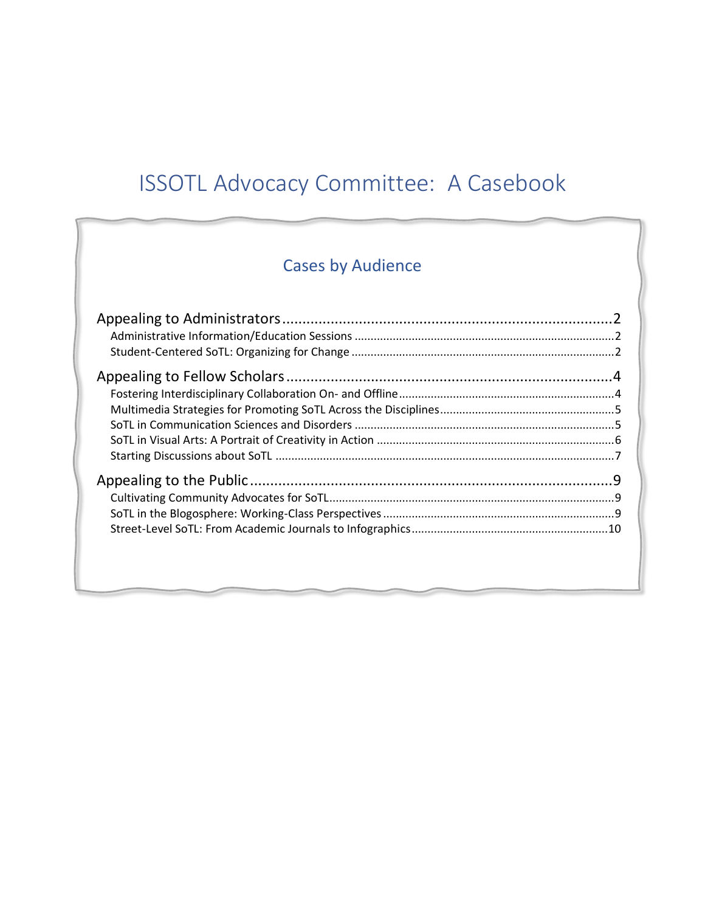# ISSOTL Advocacy Committee: A Casebook

# Cases by Audience

j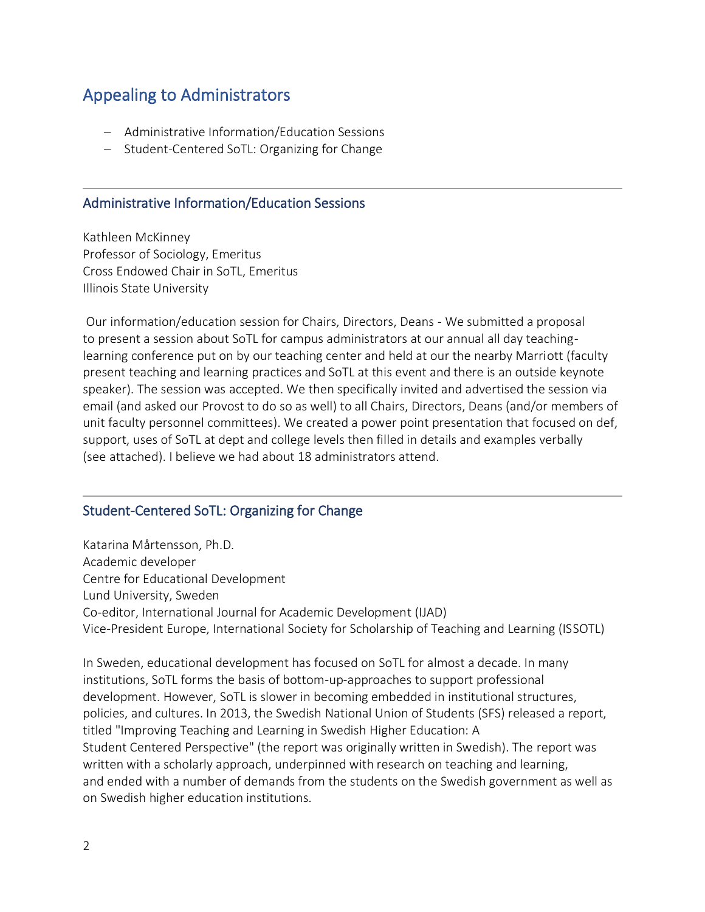# <span id="page-1-0"></span>Appealing to Administrators

- − Administrative Information/Education Sessions
- − Student-Centered SoTL: Organizing for Change

#### <span id="page-1-1"></span>Administrative Information/Education Sessions

Kathleen McKinney Professor of Sociology, Emeritus Cross Endowed Chair in SoTL, Emeritus Illinois State University

Our information/education session for Chairs, Directors, Deans - We submitted a proposal to present a session about SoTL for campus administrators at our annual all day teachinglearning conference put on by our teaching center and held at our the nearby Marriott (faculty present teaching and learning practices and SoTL at this event and there is an outside keynote speaker). The session was accepted. We then specifically invited and advertised the session via email (and asked our Provost to do so as well) to all Chairs, Directors, Deans (and/or members of unit faculty personnel committees). We created a power point presentation that focused on def, support, uses of SoTL at dept and college levels then filled in details and examples verbally (see attached). I believe we had about 18 administrators attend.

#### <span id="page-1-2"></span>Student-Centered SoTL: Organizing for Change

Katarina Mårtensson, Ph.D. Academic developer Centre for Educational Development Lund University, Sweden Co-editor, International Journal for Academic Development (IJAD) Vice-President Europe, International Society for Scholarship of Teaching and Learning (ISSOTL)

In Sweden, educational development has focused on SoTL for almost a decade. In many institutions, SoTL forms the basis of bottom-up-approaches to support professional development. However, SoTL is slower in becoming embedded in institutional structures, policies, and cultures. In 2013, the Swedish National Union of Students (SFS) released a report, titled "Improving Teaching and Learning in Swedish Higher Education: A Student Centered Perspective" (the report was originally written in Swedish). The report was written with a scholarly approach, underpinned with research on teaching and learning, and ended with a number of demands from the students on the Swedish government as well as on Swedish higher education institutions.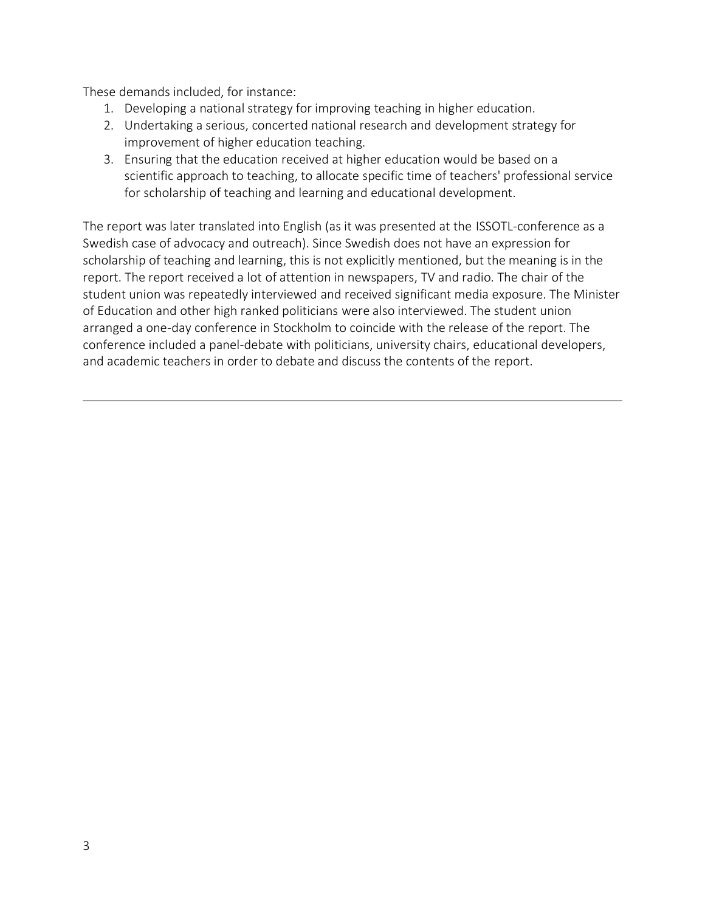These demands included, for instance:

- 1. Developing a national strategy for improving teaching in higher education.
- 2. Undertaking a serious, concerted national research and development strategy for improvement of higher education teaching.
- 3. Ensuring that the education received at higher education would be based on a scientific approach to teaching, to allocate specific time of teachers' professional service for scholarship of teaching and learning and educational development.

The report was later translated into English (as it was presented at the ISSOTL-conference as a Swedish case of advocacy and outreach). Since Swedish does not have an expression for scholarship of teaching and learning, this is not explicitly mentioned, but the meaning is in the report. The report received a lot of attention in newspapers, TV and radio. The chair of the student union was repeatedly interviewed and received significant media exposure. The Minister of Education and other high ranked politicians were also interviewed. The student union arranged a one-day conference in Stockholm to coincide with the release of the report. The conference included a panel-debate with politicians, university chairs, educational developers, and academic teachers in order to debate and discuss the contents of the report.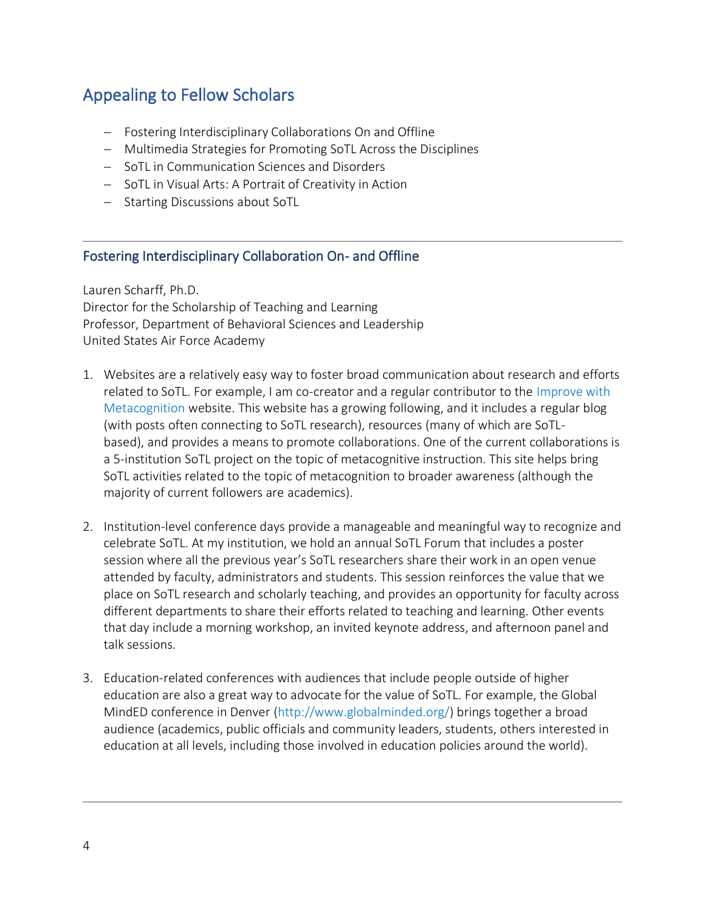# <span id="page-3-0"></span>Appealing to Fellow Scholars

- − Fostering Interdisciplinary Collaborations On and Offline
- − Multimedia Strategies for Promoting SoTL Across the Disciplines
- − SoTL in Communication Sciences and Disorders
- − SoTL in Visual Arts: A Portrait of Creativity in Action
- − Starting Discussions about SoTL

#### <span id="page-3-1"></span>Fostering Interdisciplinary Collaboration On- and Offline

Lauren Scharff, Ph.D. Director for the Scholarship of Teaching and Learning Professor, Department of Behavioral Sciences and Leadership United States Air Force Academy

- 1. Websites are a relatively easy way to foster broad communication about research and efforts related to SoTL. For example, I am co-creator and a regular contributor to the [Improve with](http://www.improvewithmetacognition.com/)  [Metacognition](http://www.improvewithmetacognition.com/) website. This website has a growing following, and it includes a regular blog (with posts often connecting to SoTL research), resources (many of which are SoTLbased), and provides a means to promote collaborations. One of the current collaborations is a 5-institution SoTL project on the topic of metacognitive instruction. This site helps bring SoTL activities related to the topic of metacognition to broader awareness (although the majority of current followers are academics).
- 2. Institution-level conference days provide a manageable and meaningful way to recognize and celebrate SoTL. At my institution, we hold an annual SoTL Forum that includes a poster session where all the previous year's SoTL researchers share their work in an open venue attended by faculty, administrators and students. This session reinforces the value that we place on SoTL research and scholarly teaching, and provides an opportunity for faculty across different departments to share their efforts related to teaching and learning. Other events that day include a morning workshop, an invited keynote address, and afternoon panel and talk sessions.
- 3. Education-related conferences with audiences that include people outside of higher education are also a great way to advocate for the value of SoTL. For example, the Global MindED conference in Denver [\(http://www.globalminded.org/\)](http://www.globalminded.org/) brings together a broad audience (academics, public officials and community leaders, students, others interested in education at all levels, including those involved in education policies around the world).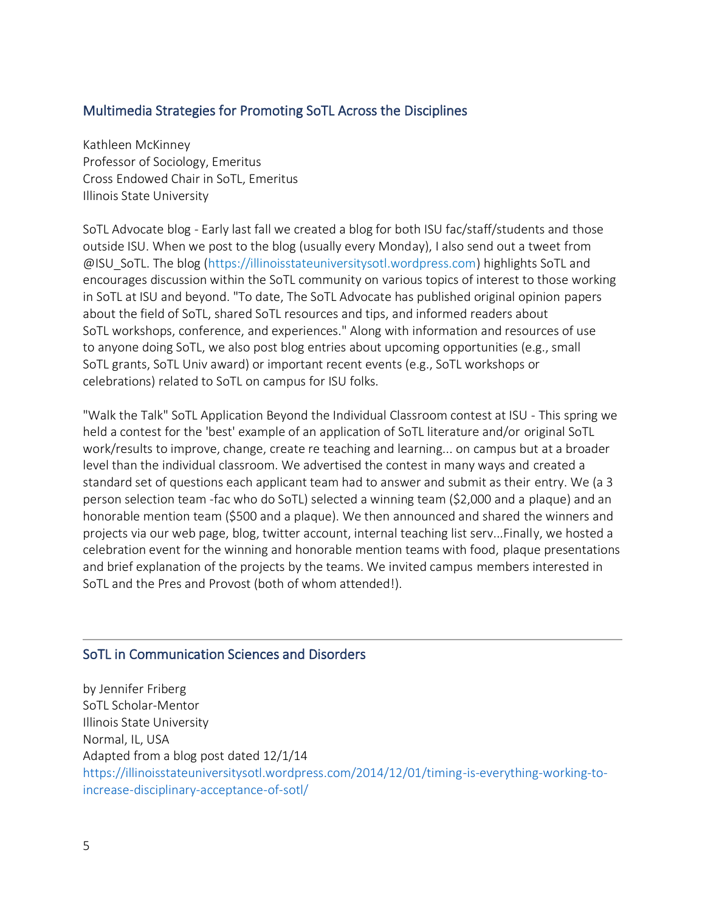#### <span id="page-4-0"></span>Multimedia Strategies for Promoting SoTL Across the Disciplines

Kathleen McKinney Professor of Sociology, Emeritus Cross Endowed Chair in SoTL, Emeritus Illinois State University

SoTL Advocate blog - Early last fall we created a blog for both ISU fac/staff/students and those outside ISU. When we post to the blog (usually every Monday), I also send out a tweet from @ISU\_SoTL. The blog [\(https://illinoisstateuniversitysotl.wordpress.com\)](https://illinoisstateuniversitysotl.wordpress.com/) highlights SoTL and encourages discussion within the SoTL community on various topics of interest to those working in SoTL at ISU and beyond. "To date, The SoTL Advocate has published original opinion papers about the field of SoTL, shared SoTL resources and tips, and informed readers about SoTL workshops, conference, and experiences." Along with information and resources of use to anyone doing SoTL, we also post blog entries about upcoming opportunities (e.g., small SoTL grants, SoTL Univ award) or important recent events (e.g., SoTL workshops or celebrations) related to SoTL on campus for ISU folks.

"Walk the Talk" SoTL Application Beyond the Individual Classroom contest at ISU - This spring we held a contest for the 'best' example of an application of SoTL literature and/or original SoTL work/results to improve, change, create re teaching and learning... on campus but at a broader level than the individual classroom. We advertised the contest in many ways and created a standard set of questions each applicant team had to answer and submit as their entry. We (a 3 person selection team -fac who do SoTL) selected a winning team (\$2,000 and a plaque) and an honorable mention team (\$500 and a plaque). We then announced and shared the winners and projects via our web page, blog, twitter account, internal teaching list serv...Finally, we hosted a celebration event for the winning and honorable mention teams with food, plaque presentations and brief explanation of the projects by the teams. We invited campus members interested in SoTL and the Pres and Provost (both of whom attended!).

#### <span id="page-4-1"></span>SoTL in Communication Sciences and Disorders

by Jennifer Friberg SoTL Scholar-Mentor Illinois State University Normal, IL, USA Adapted from [a blog post](https://illinoisstateuniversitysotl.wordpress.com/2014/12/01/timing-is-everything-working-to-increase-disciplinary-acceptance-of-sotl/) dated 12/1/14 [https://illinoisstateuniversitysotl.wordpress.com/2014/12/01/timing-is-everything-working-to](https://illinoisstateuniversitysotl.wordpress.com/2014/12/01/timing-is-everything-working-to-increase-disciplinary-acceptance-of-sotl/)[increase-disciplinary-acceptance-of-sotl/](https://illinoisstateuniversitysotl.wordpress.com/2014/12/01/timing-is-everything-working-to-increase-disciplinary-acceptance-of-sotl/)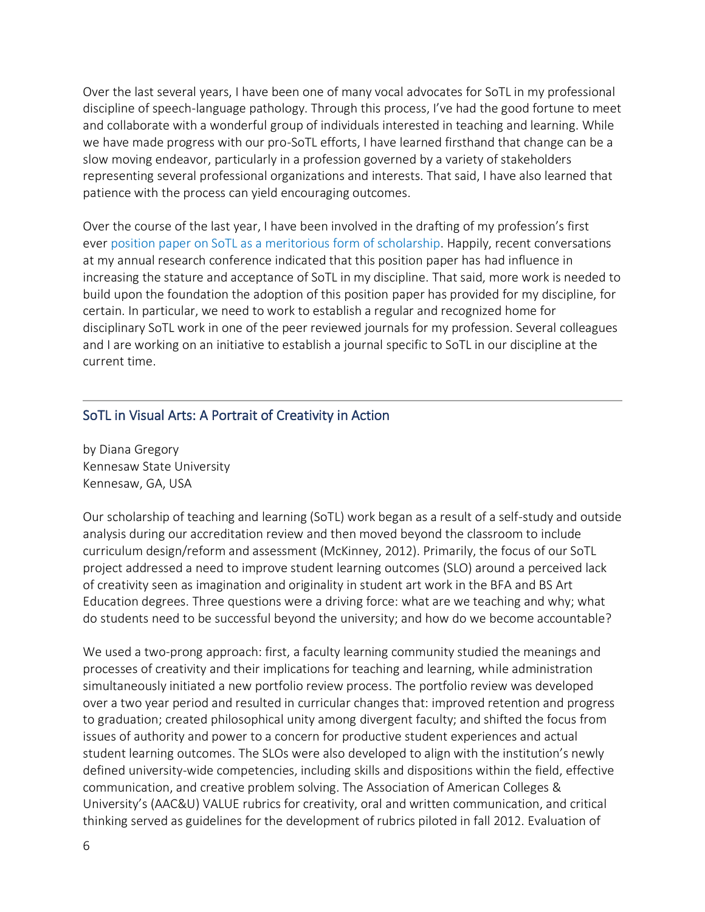Over the last several years, I have been one of many vocal advocates for SoTL in my professional discipline of speech-language pathology. Through this process, I've had the good fortune to meet and collaborate with a wonderful group of individuals interested in teaching and learning. While we have made progress with our pro-SoTL efforts, I have learned firsthand that change can be a slow moving endeavor, particularly in a profession governed by a variety of stakeholders representing several professional organizations and interests. That said, I have also learned that patience with the process can yield encouraging outcomes.

Over the course of the last year, I have been involved in the drafting of my profession's first ever [position paper on SoTL as a meritorious form of scholarship.](http://www.capcsd.org/resources/sotl_position.php) Happily, recent conversations at my annual research conference indicated that this position paper has had influence in increasing the stature and acceptance of SoTL in my discipline. That said, more work is needed to build upon the foundation the adoption of this position paper has provided for my discipline, for certain. In particular, we need to work to establish a regular and recognized home for disciplinary SoTL work in one of the peer reviewed journals for my profession. Several colleagues and I are working on an initiative to establish a journal specific to SoTL in our discipline at the current time.

#### <span id="page-5-0"></span>SoTL in Visual Arts: A Portrait of Creativity in Action

by Diana Gregory Kennesaw State University Kennesaw, GA, USA

Our scholarship of teaching and learning (SoTL) work began as a result of a self-study and outside analysis during our accreditation review and then moved beyond the classroom to include curriculum design/reform and assessment (McKinney, 2012). Primarily, the focus of our SoTL project addressed a need to improve student learning outcomes (SLO) around a perceived lack of creativity seen as imagination and originality in student art work in the BFA and BS Art Education degrees. Three questions were a driving force: what are we teaching and why; what do students need to be successful beyond the university; and how do we become accountable?

We used a two-prong approach: first, a faculty learning community studied the meanings and processes of creativity and their implications for teaching and learning, while administration simultaneously initiated a new portfolio review process. The portfolio review was developed over a two year period and resulted in curricular changes that: improved retention and progress to graduation; created philosophical unity among divergent faculty; and shifted the focus from issues of authority and power to a concern for productive student experiences and actual student learning outcomes. The SLOs were also developed to align with the institution's newly defined university-wide competencies, including skills and dispositions within the field, effective communication, and creative problem solving. The Association of American Colleges & University's (AAC&U) VALUE rubrics for creativity, oral and written communication, and critical thinking served as guidelines for the development of rubrics piloted in fall 2012. Evaluation of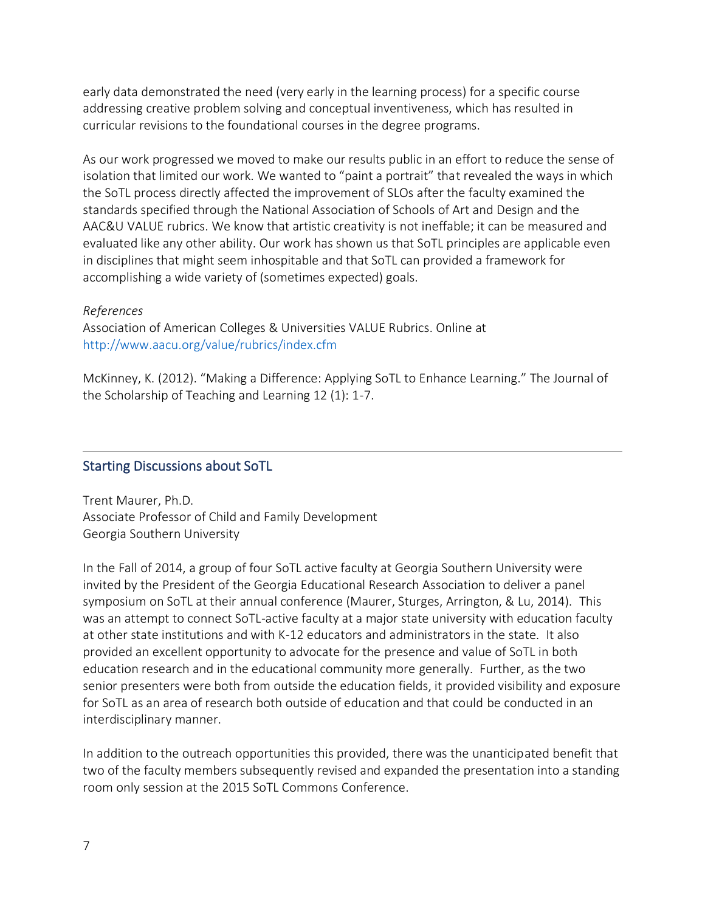early data demonstrated the need (very early in the learning process) for a specific course addressing creative problem solving and conceptual inventiveness, which has resulted in curricular revisions to the foundational courses in the degree programs.

As our work progressed we moved to make our results public in an effort to reduce the sense of isolation that limited our work. We wanted to "paint a portrait" that revealed the ways in which the SoTL process directly affected the improvement of SLOs after the faculty examined the standards specified through the National Association of Schools of Art and Design and the AAC&U VALUE rubrics. We know that artistic creativity is not ineffable; it can be measured and evaluated like any other ability. Our work has shown us that SoTL principles are applicable even in disciplines that might seem inhospitable and that SoTL can provided a framework for accomplishing a wide variety of (sometimes expected) goals.

#### *References*

Association of American Colleges & Universities VALUE Rubrics. Online at <http://www.aacu.org/value/rubrics/index.cfm>

McKinney, K. (2012). "Making a Difference: Applying SoTL to Enhance Learning." The Journal of the Scholarship of Teaching and Learning 12 (1): 1-7.

#### <span id="page-6-0"></span>Starting Discussions about SoTL

Trent Maurer, Ph.D. Associate Professor of Child and Family Development Georgia Southern University

In the Fall of 2014, a group of four SoTL active faculty at Georgia Southern University were invited by the President of the Georgia Educational Research Association to deliver a panel symposium on SoTL at their annual conference (Maurer, Sturges, Arrington, & Lu, 2014). This was an attempt to connect SoTL-active faculty at a major state university with education faculty at other state institutions and with K-12 educators and administrators in the state. It also provided an excellent opportunity to advocate for the presence and value of SoTL in both education research and in the educational community more generally. Further, as the two senior presenters were both from outside the education fields, it provided visibility and exposure for SoTL as an area of research both outside of education and that could be conducted in an interdisciplinary manner.

In addition to the outreach opportunities this provided, there was the unanticipated benefit that two of the faculty members subsequently revised and expanded the presentation into a standing room only session at the 2015 SoTL Commons Conference.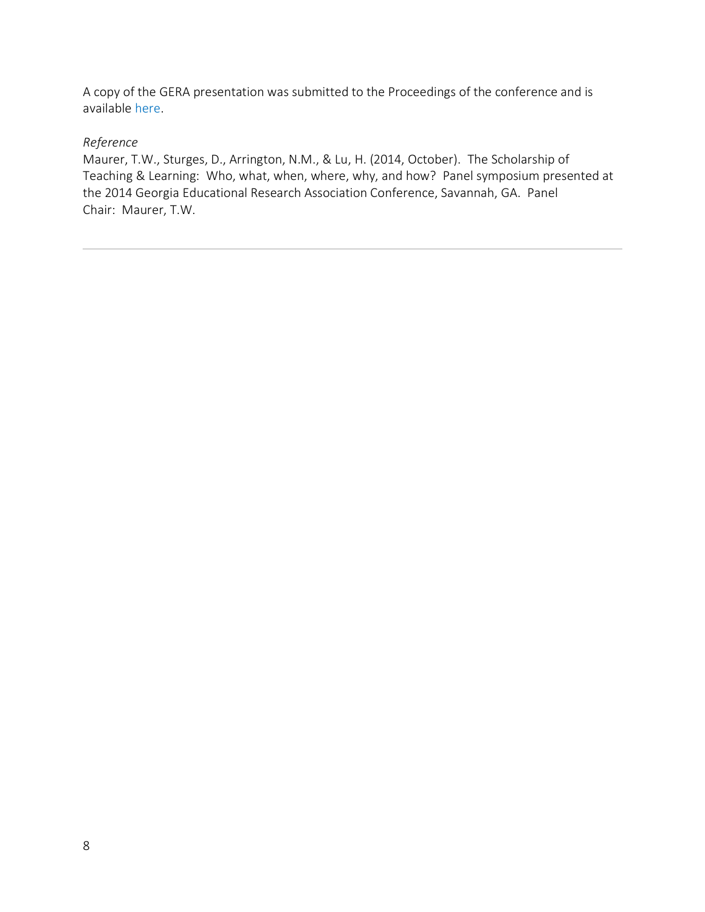A copy of the GERA presentation was submitted to the Proceedings of the conference and is available [here.](http://digitalcommons.georgiasouthern.edu/gera/2014/2014/24/)

#### *Reference*

Maurer, T.W., Sturges, D., Arrington, N.M., & Lu, H. (2014, October). The Scholarship of Teaching & Learning: Who, what, when, where, why, and how? Panel symposium presented at the 2014 Georgia Educational Research Association Conference, Savannah, GA. Panel Chair: Maurer, T.W.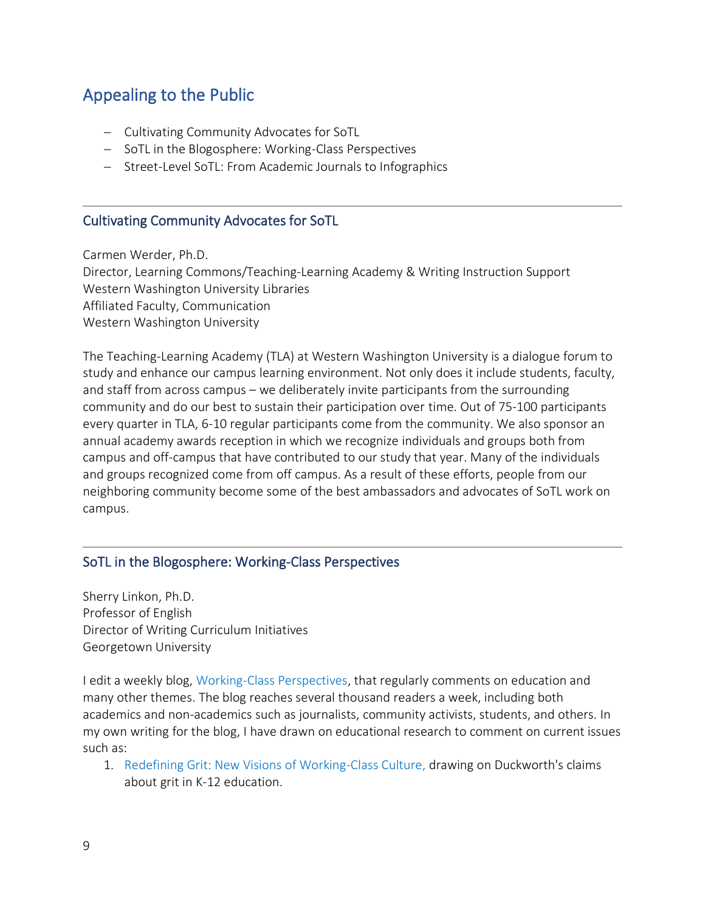### <span id="page-8-0"></span>Appealing to the Public

- − Cultivating Community Advocates for SoTL
- − SoTL in the Blogosphere: Working-Class Perspectives
- − Street-Level SoTL: From Academic Journals to Infographics

#### <span id="page-8-1"></span>Cultivating Community Advocates for SoTL

Carmen Werder, Ph.D. Director, Learning Commons/Teaching-Learning Academy & Writing Instruction Support Western Washington University Libraries Affiliated Faculty, Communication Western Washington University

 $\overline{a}$ 

The Teaching-Learning Academy (TLA) at Western Washington University is a dialogue forum to study and enhance our campus learning environment. Not only does it include students, faculty, and staff from across campus – we deliberately invite participants from the surrounding community and do our best to sustain their participation over time. Out of 75-100 participants every quarter in TLA, 6-10 regular participants come from the community. We also sponsor an annual academy awards reception in which we recognize individuals and groups both from campus and off-campus that have contributed to our study that year. Many of the individuals and groups recognized come from off campus. As a result of these efforts, people from our neighboring community become some of the best ambassadors and advocates of SoTL work on campus.

#### <span id="page-8-2"></span>SoTL in the Blogosphere: Working-Class Perspectives

Sherry Linkon, Ph.D. Professor of English Director of Writing Curriculum Initiatives Georgetown University

I edit a weekly blog, [Working-Class Perspectives,](https://workingclassstudies.wordpress.com/) that regularly comments on education and many other themes. The blog reaches several thousand readers a week, including both academics and non-academics such as journalists, community activists, students, and others. In my own writing for the blog, I have drawn on educational research to comment on current issues such as:

1. [Redefining Grit: New Visions of Working-Class Culture,](https://workingclassstudies.wordpress.com/2013/11/04/redefining-grit-new-visions-of-working-class-culture/) drawing on Duckworth's claims about grit in K-12 education.